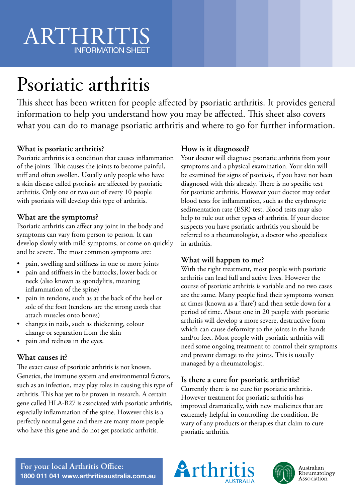# ARTHRITIS INFORMATION SHEET

# Psoriatic arthritis

This sheet has been written for people affected by psoriatic arthritis. It provides general information to help you understand how you may be affected. This sheet also covers what you can do to manage psoriatic arthritis and where to go for further information.

### **What is psoriatic arthritis?**

Psoriatic arthritis is a condition that causes inflammation of the joints. This causes the joints to become painful, stiff and often swollen. Usually only people who have a skin disease called psoriasis are affected by psoriatic arthritis. Only one or two out of every 10 people with psoriasis will develop this type of arthritis.

#### **What are the symptoms?**

Psoriatic arthritis can affect any joint in the body and symptoms can vary from person to person. It can develop slowly with mild symptoms, or come on quickly and be severe. The most common symptoms are:

- pain, swelling and stiffness in one or more joints
- pain and stiffness in the buttocks, lower back or neck (also known as spondylitis, meaning inflammation of the spine)
- pain in tendons, such as at the back of the heel or sole of the foot (tendons are the strong cords that attach muscles onto bones)
- changes in nails, such as thickening, colour change or separation from the skin
- pain and redness in the eyes.

#### **What causes it?**

The exact cause of psoriatic arthritis is not known. Genetics, the immune system and environmental factors, such as an infection, may play roles in causing this type of arthritis. This has yet to be proven in research. A certain gene called HLA-B27 is associated with psoriatic arthritis, especially inflammation of the spine. However this is a perfectly normal gene and there are many more people who have this gene and do not get psoriatic arthritis.

## **How is it diagnosed?**

Your doctor will diagnose psoriatic arthritis from your symptoms and a physical examination. Your skin will be examined for signs of psoriasis, if you have not been diagnosed with this already. There is no specific test for psoriatic arthritis. However your doctor may order blood tests for inflammation, such as the erythrocyte sedimentation rate (ESR) test. Blood tests may also help to rule out other types of arthritis. If your doctor suspects you have psoriatic arthritis you should be referred to a rheumatologist, a doctor who specialises in arthritis.

## **What will happen to me?**

With the right treatment, most people with psoriatic arthritis can lead full and active lives. However the course of psoriatic arthritis is variable and no two cases are the same. Many people find their symptoms worsen at times (known as a 'flare') and then settle down for a period of time. About one in 20 people with psoriatic arthritis will develop a more severe, destructive form which can cause deformity to the joints in the hands and/or feet. Most people with psoriatic arthritis will need some ongoing treatment to control their symptoms and prevent damage to the joints. This is usually managed by a rheumatologist.

## **Is there a cure for psoriatic arthritis?**

Currently there is no cure for psoriatic arthritis. However treatment for psoriatic arthritis has improved dramatically, with new medicines that are extremely helpful in controlling the condition. Be wary of any products or therapies that claim to cure psoriatic arthritis.